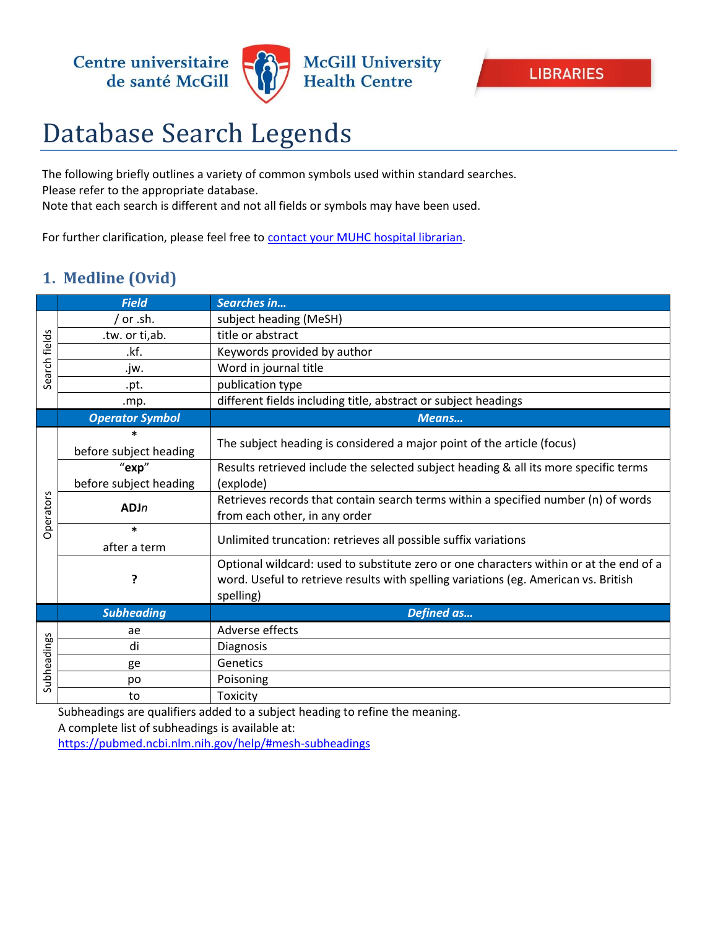

## Database Search Legends

The following briefly outlines a variety of common symbols used within standard searches. Please refer to the appropriate database.

Note that each search is different and not all fields or symbols may have been used.

For further clarification, please feel free to [contact your MUHC hospital librarian.](http://www.muhclibraries.ca/ask-a-librarian/)

## **1. Medline (Ovid)**

|               | <b>Field</b>           | Searches in                                                                            |
|---------------|------------------------|----------------------------------------------------------------------------------------|
| Search fields | or .sh.                | subject heading (MeSH)                                                                 |
|               | .tw. or ti,ab.         | title or abstract                                                                      |
|               | .kf.                   | Keywords provided by author                                                            |
|               | .jw.                   | Word in journal title                                                                  |
|               | .pt.                   | publication type                                                                       |
|               | .mp.                   | different fields including title, abstract or subject headings                         |
|               | <b>Operator Symbol</b> | Means                                                                                  |
|               |                        | The subject heading is considered a major point of the article (focus)                 |
|               | before subject heading |                                                                                        |
|               | "exp"                  | Results retrieved include the selected subject heading & all its more specific terms   |
|               | before subject heading | (explode)                                                                              |
|               | ADJn                   | Retrieves records that contain search terms within a specified number (n) of words     |
| Operators     |                        | from each other, in any order                                                          |
|               | $\ast$                 | Unlimited truncation: retrieves all possible suffix variations                         |
|               | after a term           |                                                                                        |
|               |                        | Optional wildcard: used to substitute zero or one characters within or at the end of a |
|               | ?                      | word. Useful to retrieve results with spelling variations (eg. American vs. British    |
|               |                        | spelling)                                                                              |
|               | <b>Subheading</b>      | Defined as                                                                             |
| Subheadings   | ae                     | Adverse effects                                                                        |
|               | di                     | Diagnosis                                                                              |
|               | ge                     | Genetics                                                                               |
|               | po                     | Poisoning                                                                              |
|               | to                     | Toxicity                                                                               |

Subheadings are qualifiers added to a subject heading to refine the meaning. A complete list of subheadings is available at: <https://pubmed.ncbi.nlm.nih.gov/help/#mesh-subheadings>